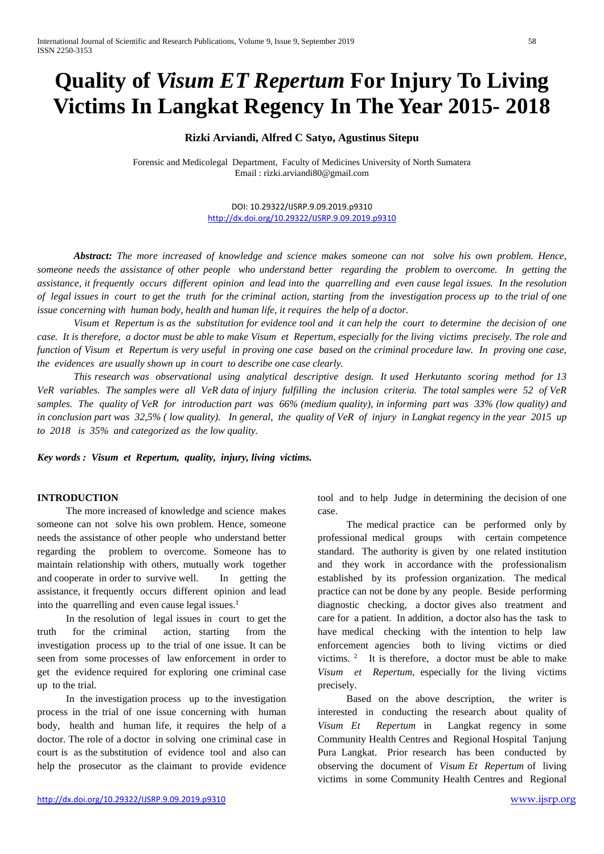# **Quality of** *Visum ET Repertum* **For Injury To Living Victims In Langkat Regency In The Year 2015- 2018**

# **Rizki Arviandi, Alfred C Satyo, Agustinus Sitepu**

Forensic and Medicolegal Department, Faculty of Medicines University of North Sumatera Email : rizki.arviandi80@gmail.com

> DOI: 10.29322/IJSRP.9.09.2019.p9310 <http://dx.doi.org/10.29322/IJSRP.9.09.2019.p9310>

*Abstract: The more increased of knowledge and science makes someone can not solve his own problem. Hence, someone needs the assistance of other people who understand better regarding the problem to overcome. In getting the assistance, it frequently occurs different opinion and lead into the quarrelling and even cause legal issues. In the resolution of legal issues in court to get the truth for the criminal action, starting from the investigation process up to the trial of one issue concerning with human body, health and human life, it requires the help of a doctor.*

*Visum et Repertum is as the substitution for evidence tool and it can help the court to determine the decision of one case. It is therefore, a doctor must be able to make Visum et Repertum, especially for the living victims precisely. The role and function of Visum et Repertum is very useful in proving one case based on the criminal procedure law. In proving one case, the evidences are usually shown up in court to describe one case clearly.* 

*This research was observational using analytical descriptive design. It used Herkutanto scoring method for 13 VeR variables. The samples were all VeR data of injury fulfilling the inclusion criteria. The total samples were 52 of VeR samples. The quality of VeR for introduction part was 66% (medium quality), in informing part was 33% (low quality) and in conclusion part was 32,5% ( low quality). In general, the quality of VeR of injury in Langkat regency in the year 2015 up to 2018 is 35% and categorized as the low quality.* 

*Key words : Visum et Repertum, quality, injury, living victims.*

# **INTRODUCTION**

The more increased of knowledge and science makes someone can not solve his own problem. Hence, someone needs the assistance of other people who understand better regarding the problem to overcome. Someone has to maintain relationship with others, mutually work together and cooperate in order to survive well. In getting the assistance, it frequently occurs different opinion and lead into the quarrelling and even cause legal issues. $<sup>1</sup>$ </sup>

In the resolution of legal issues in court to get the truth for the criminal action, starting from the investigation process up to the trial of one issue. It can be seen from some processes of law enforcement in order to get the evidence required for exploring one criminal case up to the trial.

In the investigation process up to the investigation process in the trial of one issue concerning with human body, health and human life, it requires the help of a doctor. The role of a doctor in solving one criminal case in court is as the substitution of evidence tool and also can help the prosecutor as the claimant to provide evidence

tool and to help Judge in determining the decision of one case.

The medical practice can be performed only by professional medical groups with certain competence standard. The authority is given by one related institution and they work in accordance with the professionalism established by its profession organization. The medical practice can not be done by any people. Beside performing diagnostic checking, a doctor gives also treatment and care for a patient. In addition, a doctor also has the task to have medical checking with the intention to help law enforcement agencies both to living victims or died victims. 2 It is therefore, a doctor must be able to make *Visum et Repertum*, especially for the living victims precisely.

Based on the above description, the writer is interested in conducting the research about quality of *Visum Et Repertum* in Langkat regency in some Community Health Centres and Regional Hospital Tanjung Pura Langkat. Prior research has been conducted by observing the document of *Visum Et Repertum* of living victims in some Community Health Centres and Regional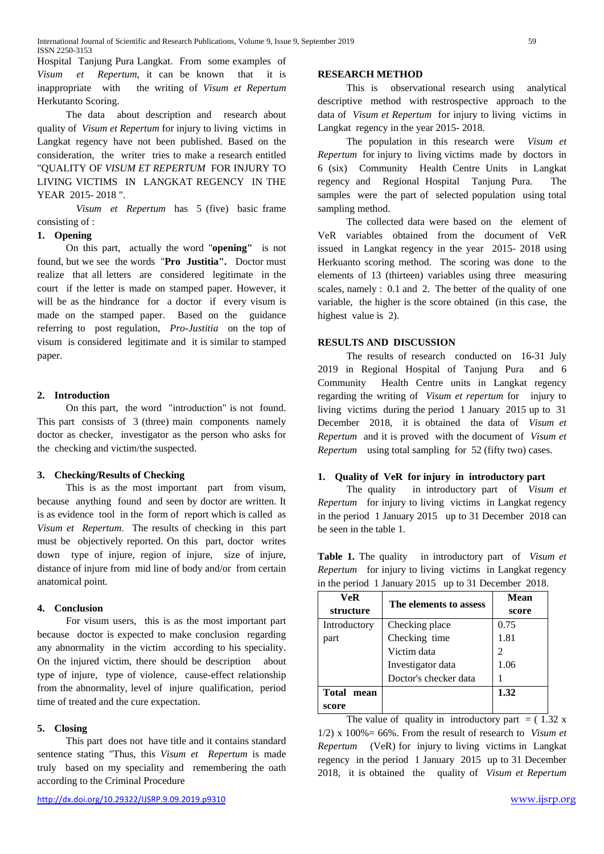Hospital Tanjung Pura Langkat. From some examples of *Visum et Repertum*, it can be known that it is inappropriate with the writing of *Visum et Repertum* Herkutanto Scoring.

The data about description and research about quality of *Visum et Repertum* for injury to living victims in Langkat regency have not been published. Based on the consideration, the writer tries to make a research entitled "QUALITY OF *VISUM ET REPERTUM* FOR INJURY TO LIVING VICTIMS IN LANGKAT REGENCY IN THE YEAR 2015- 2018 ".

 *Visum et Repertum* has 5 (five) basic frame consisting of :

### **1. Opening**

On this part, actually the word "**opening"** is not found, but we see the words "**Pro Justitia".** Doctor must realize that all letters are considered legitimate in the court if the letter is made on stamped paper. However, it will be as the hindrance for a doctor if every visum is made on the stamped paper. Based on the guidance referring to post regulation, *Pro-Justitia* on the top of visum is considered legitimate and it is similar to stamped paper.

#### **2. Introduction**

On this part, the word "introduction" is not found. This part consists of 3 (three) main components namely doctor as checker, investigator as the person who asks for the checking and victim/the suspected.

#### **3. Checking/Results of Checking**

This is as the most important part from visum, because anything found and seen by doctor are written. It is as evidence tool in the form of report which is called as *Visum et Repertum*. The results of checking in this part must be objectively reported. On this part, doctor writes down type of injure, region of injure, size of injure, distance of injure from mid line of body and/or from certain anatomical point.

#### **4. Conclusion**

For visum users, this is as the most important part because doctor is expected to make conclusion regarding any abnormality in the victim according to his speciality. On the injured victim, there should be description about type of injure, type of violence, cause-effect relationship from the abnormality, level of injure qualification, period time of treated and the cure expectation.

## **5. Closing**

This part does not have title and it contains standard sentence stating "Thus, this *Visum et Repertum* is made truly based on my speciality and remembering the oath according to the Criminal Procedure

#### **RESEARCH METHOD**

This is observational research using analytical descriptive method with restrospective approach to the data of *Visum et Repertum* for injury to living victims in Langkat regency in the year 2015- 2018.

The population in this research were *Visum et Repertum* for injury to living victims made by doctors in 6 (six) Community Health Centre Units in Langkat regency and Regional Hospital Tanjung Pura. The samples were the part of selected population using total sampling method.

The collected data were based on the element of VeR variables obtained from the document of VeR issued in Langkat regency in the year 2015- 2018 using Herkuanto scoring method. The scoring was done to the elements of 13 (thirteen) variables using three measuring scales, namely : 0.1 and 2. The better of the quality of one variable, the higher is the score obtained (in this case, the highest value is 2).

### **RESULTS AND DISCUSSION**

The results of research conducted on 16-31 July 2019 in Regional Hospital of Tanjung Pura and 6 Community Health Centre units in Langkat regency regarding the writing of *Visum et repertum* for injury to living victims during the period 1 January 2015 up to 31 December 2018, it is obtained the data of *Visum et Repertum* and it is proved with the document of *Visum et Repertum* using total sampling for 52 (fifty two) cases.

#### **1. Quality of VeR for injury in introductory part**

The quality in introductory part of *Visum et Repertum* for injury to living victims in Langkat regency in the period 1 January 2015 up to 31 December 2018 can be seen in the table 1.

| structure                                            |                                                                 | score       |  |  |
|------------------------------------------------------|-----------------------------------------------------------------|-------------|--|--|
| VeR                                                  | The elements to assess                                          | <b>Mean</b> |  |  |
| in the period 1 January 2015 up to 31 December 2018. |                                                                 |             |  |  |
|                                                      | <i>Repertum</i> for injury to living victims in Langkat regency |             |  |  |

**Table 1.** The quality in introductory part of *Visum et* 

| structure    | The elements to assess | score                       |
|--------------|------------------------|-----------------------------|
| Introductory | Checking place         | 0.75                        |
| part         | Checking time          | 1.81                        |
|              | Victim data            | $\mathcal{D}_{\mathcal{L}}$ |
|              | Investigator data      | 1.06                        |
|              | Doctor's checker data  |                             |
| Total mean   |                        | 1.32                        |
| score        |                        |                             |

The value of quality in introductory part  $=$  (1.32 x) 1/2) x 100%= 66%. From the result of research to *Visum et Repertum* (VeR) for injury to living victims in Langkat regency in the period 1 January 2015 up to 31 December 2018, it is obtained the quality of *Visum et Repertum*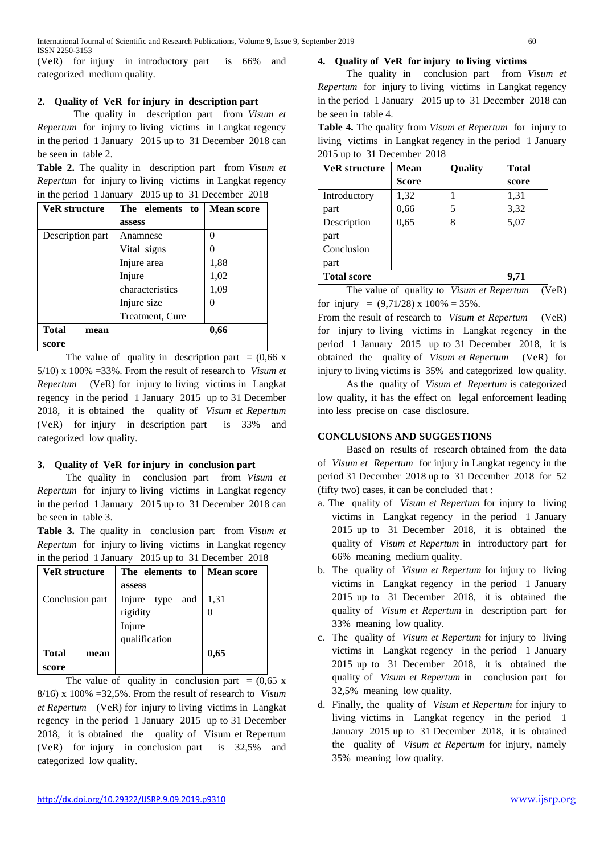(VeR) for injury in introductory part is 66% and categorized medium quality.

#### **2. Quality of VeR for injury in description part**

The quality in description part from *Visum et Repertum* for injury to living victims in Langkat regency in the period 1 January 2015 up to 31 December 2018 can be seen in table 2.

**Table 2.** The quality in description part from *Visum et Repertum* for injury to living victims in Langkat regency in the period 1 January 2015 up to 31 December 2018

| <b>VeR</b> structure | The elements to | <b>Mean score</b> |
|----------------------|-----------------|-------------------|
|                      | assess          |                   |
| Description part     | Anamnese        | 0                 |
|                      | Vital signs     |                   |
|                      | Injure area     | 1,88              |
|                      | Injure          | 1,02              |
|                      | characteristics | 1,09              |
|                      | Injure size     |                   |
|                      | Treatment, Cure |                   |
| <b>Total</b><br>mean |                 | 0,66              |
| score                |                 |                   |

The value of quality in description part =  $(0.66 \text{ x})$ 5/10) x 100% =33%. From the result of research to *Visum et Repertum* (VeR) for injury to living victims in Langkat regency in the period 1 January 2015 up to 31 December 2018, it is obtained the quality of *Visum et Repertum* (VeR) for injury in description part is 33% and categorized low quality.

## **3. Quality of VeR for injury in conclusion part**

The quality in conclusion part from *Visum et Repertum* for injury to living victims in Langkat regency in the period 1 January 2015 up to 31 December 2018 can be seen in table 3.

**Table 3.** The quality in conclusion part from *Visum et Repertum* for injury to living victims in Langkat regency in the period 1 January 2015 up to 31 December 2018

| <b>VeR</b> structure | The elements to       | <b>Mean score</b> |  |
|----------------------|-----------------------|-------------------|--|
|                      | assess                |                   |  |
| Conclusion part      | Injure<br>and<br>type | 1,31              |  |
|                      | rigidity              |                   |  |
|                      | Injure                |                   |  |
|                      | qualification         |                   |  |
| <b>Total</b><br>mean |                       | 0,65              |  |
| score                |                       |                   |  |

The value of quality in conclusion part =  $(0.65 \text{ x})$ 8/16) x 100% =32,5%. From the result of research to *Visum et Repertum* (VeR) for injury to living victims in Langkat regency in the period 1 January 2015 up to 31 December 2018, it is obtained the quality of Visum et Repertum (VeR) for injury in conclusion part is 32,5% and categorized low quality.

# **4. Quality of VeR for injury to living victims**

The quality in conclusion part from *Visum et Repertum* for injury to living victims in Langkat regency in the period 1 January 2015 up to 31 December 2018 can be seen in table 4.

**Table 4.** The quality from *Visum et Repertum* for injury to living victims in Langkat regency in the period 1 January 2015 up to 31 December 2018

| <b>VeR</b> structure | <b>Mean</b> | Quality | <b>Total</b> |
|----------------------|-------------|---------|--------------|
|                      | Score       |         | score        |
| Introductory         | 1,32        |         | 1,31         |
| part                 | 0,66        | 5       | 3,32         |
| Description          | 0,65        | 8       | 5,07         |
| part                 |             |         |              |
| Conclusion           |             |         |              |
| part                 |             |         |              |
| <b>Total score</b>   |             |         | 9.71         |

The value of quality to *Visum et Repertum* (VeR) for injury =  $(9,71/28) \times 100\% = 35\%$ .

From the result of research to *Visum et Repertum* (VeR) for injury to living victims in Langkat regency in the period 1 January 2015 up to 31 December 2018, it is obtained the quality of *Visum et Repertum* (VeR) for injury to living victims is 35% and categorized low quality.

As the quality of *Visum et Repertum* is categorized low quality, it has the effect on legal enforcement leading into less precise on case disclosure.

## **CONCLUSIONS AND SUGGESTIONS**

Based on results of research obtained from the data of *Visum et Repertum* for injury in Langkat regency in the period 31 December 2018 up to 31 December 2018 for 52 (fifty two) cases, it can be concluded that :

- a. The quality of *Visum et Repertum* for injury to living victims in Langkat regency in the period 1 January 2015 up to 31 December 2018, it is obtained the quality of *Visum et Repertum* in introductory part for 66% meaning medium quality.
- b. The quality of *Visum et Repertum* for injury to living victims in Langkat regency in the period 1 January 2015 up to 31 December 2018, it is obtained the quality of *Visum et Repertum* in description part for 33% meaning low quality.
- c. The quality of *Visum et Repertum* for injury to living victims in Langkat regency in the period 1 January 2015 up to 31 December 2018, it is obtained the quality of *Visum et Repertum* in conclusion part for 32,5% meaning low quality.
- d. Finally, the quality of *Visum et Repertum* for injury to living victims in Langkat regency in the period 1 January 2015 up to 31 December 2018, it is obtained the quality of *Visum et Repertum* for injury, namely 35% meaning low quality.